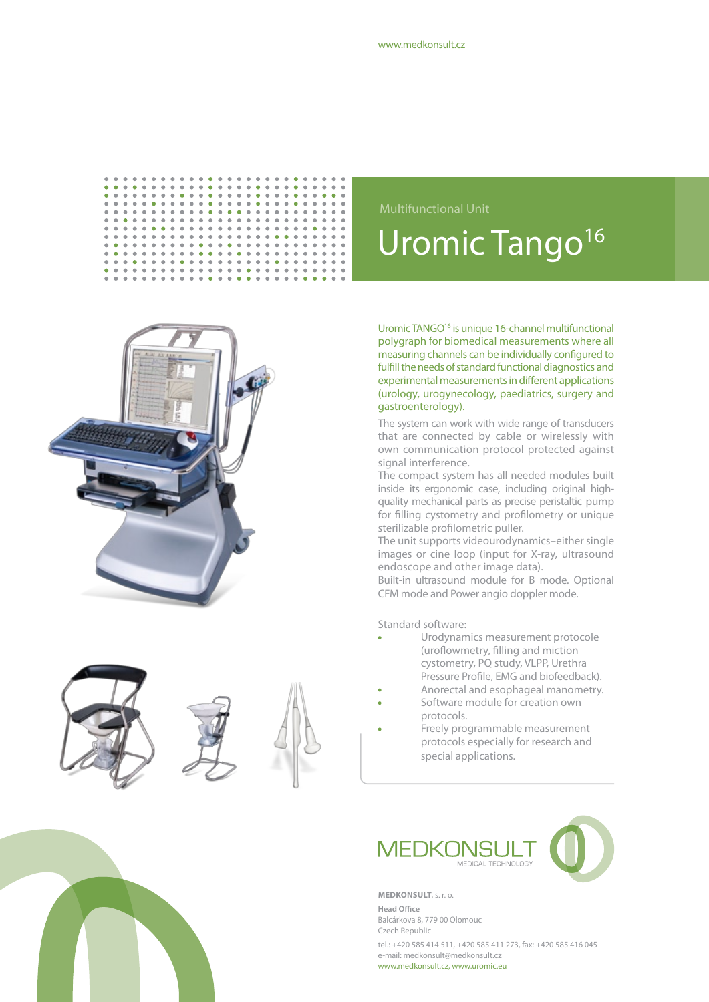

 $\ddot{\bullet}$  $\ddot{\phantom{a}}$ 

 $\bullet$  $\alpha$ 

 $\bullet$  $\bullet$  $\bullet$  $\bullet$ 

 $\ddot{\phantom{0}}$  $\ddot{\bullet}$ 

 $\bullet$  $\bullet$  $\bullet$  $\bullet$  $\bullet$  $\bullet$  $\bullet$  $\ddot{\phantom{a}}$ 

> $\ddot{\phantom{a}}$  $\bullet$  $\alpha$  $\alpha$  $\alpha$  $\alpha$  $\alpha$  $\bullet$  $\bullet$  $\bullet$  $\bullet$  $\alpha$  $\bullet$  $\bullet$  $\bullet$  $\bullet$  $\bullet$  $\ddot{\phantom{a}}$  $\bullet$  $\bullet$  $\bullet$  $\ddot{\phantom{a}}$  $\bullet$  $\ddot{\phantom{a}}$

 $\bullet$  $\bullet$  $\mathbf{0}=\mathbf{0}=\mathbf{0}$   $\ddot{\phantom{a}}$  $\ddot{\bullet}$  $\ddot{\phantom{0}}$  $\ddot{\bullet}$  $\ddot{\bullet}$  $\ddot{\bullet}$  $\frac{1}{2}$  $\ddot{\bullet}$  $\ddot{\phantom{a}}$ 

 $\ddot{\bullet}$ 

 $\bullet$  $\bullet$  $\bullet$  $\bullet$  $\bullet$  $\bullet$ 

 $\ddot{\bullet}$  $\bullet$  $\bullet$  $\bullet$ 

 $\bullet$  $\bullet$  $\bullet$  $\bullet$  $\bullet$  $\ddot{\phantom{a}}$ 

 $\ddot{\bullet}$ 

 $\bullet$  $\bullet$  **PORT PROPERTY** 

 $\alpha$ 

 $\bullet$ 







Uromic Tango<sup>16</sup> Multifunctional Unit

Uromic TANGO16 is unique 16-channel multifunctional polygraph for biomedical measurements where all measuring channels can be individually configured to fulfill the needs of standard functional diagnostics and experimental measurements in different applications (urology, urogynecology, paediatrics, surgery and gastroenterology).

The system can work with wide range of transducers that are connected by cable or wirelessly with own communication protocol protected against signal interference.

The compact system has all needed modules built inside its ergonomic case, including original highquality mechanical parts as precise peristaltic pump for filling cystometry and profilometry or unique sterilizable profilometric puller.

The unit supports videourodynamics–either single images or cine loop (input for X-ray, ultrasound endoscope and other image data).

Built-in ultrasound module for B mode. Optional CFM mode and Power angio doppler mode.

Standard software:

- Urodynamics measurement protocole (uroflowmetry, filling and miction cystometry, PQ study, VLPP, Urethra Pressure Profile, EMG and biofeedback).
- Anorectal and esophageal manometry.
- Software module for creation own protocols.
- Freely programmable measurement protocols especially for research and special applications.



**Medkonsult**, s. r. o.

**Head Office** Balcárkova 8, 779 00 Olomouc Czech Republic

tel.: +420 585 414 511, +420 585 411 273, fax: +420 585 416 045 e-mail: medkonsult@medkonsult.cz www.medkonsult.cz, www.uromic.eu